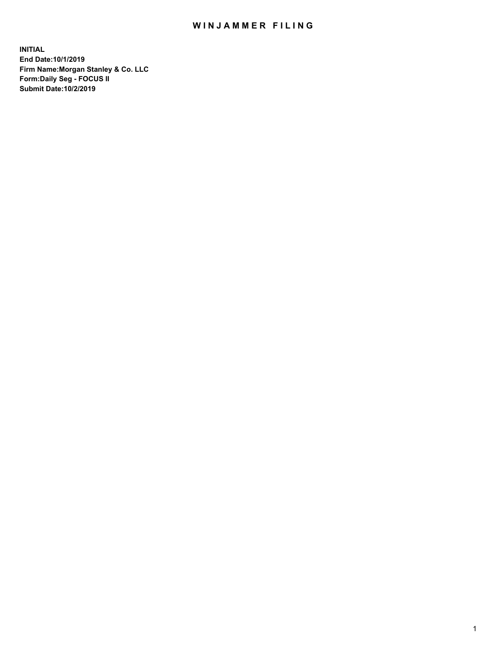## WIN JAMMER FILING

**INITIAL End Date:10/1/2019 Firm Name:Morgan Stanley & Co. LLC Form:Daily Seg - FOCUS II Submit Date:10/2/2019**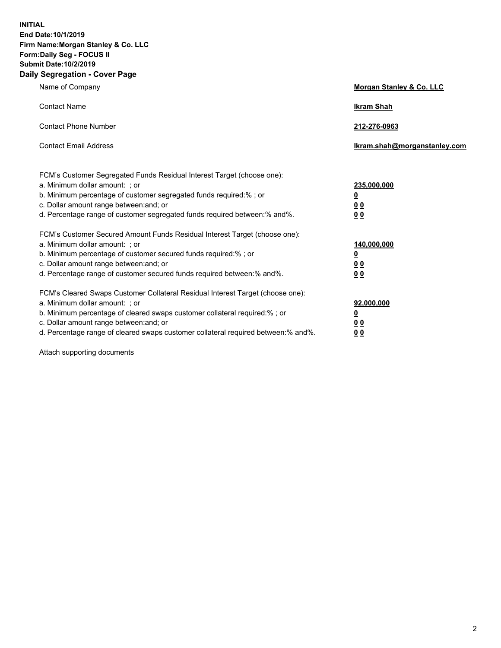**INITIAL End Date:10/1/2019 Firm Name:Morgan Stanley & Co. LLC Form:Daily Seg - FOCUS II Submit Date:10/2/2019 Daily Segregation - Cover Page**

| Name of Company                                                                   | Morgan Stanley & Co. LLC     |
|-----------------------------------------------------------------------------------|------------------------------|
| <b>Contact Name</b>                                                               | <b>Ikram Shah</b>            |
| <b>Contact Phone Number</b>                                                       | 212-276-0963                 |
| <b>Contact Email Address</b>                                                      | Ikram.shah@morganstanley.com |
| FCM's Customer Segregated Funds Residual Interest Target (choose one):            |                              |
| a. Minimum dollar amount: ; or                                                    | 235,000,000                  |
| b. Minimum percentage of customer segregated funds required:% ; or                | <u>0</u>                     |
| c. Dollar amount range between: and; or                                           | <u>0 0</u>                   |
| d. Percentage range of customer segregated funds required between: % and %.       | 00                           |
| FCM's Customer Secured Amount Funds Residual Interest Target (choose one):        |                              |
| a. Minimum dollar amount: ; or                                                    | 140,000,000                  |
| b. Minimum percentage of customer secured funds required:%; or                    | <u>0</u>                     |
| c. Dollar amount range between: and; or                                           | 0 <sub>0</sub>               |
| d. Percentage range of customer secured funds required between:% and%.            | 0 <sub>0</sub>               |
| FCM's Cleared Swaps Customer Collateral Residual Interest Target (choose one):    |                              |
| a. Minimum dollar amount: ; or                                                    | 92,000,000                   |
| b. Minimum percentage of cleared swaps customer collateral required:% ; or        | <u>0</u>                     |
| c. Dollar amount range between: and; or                                           | 0 Q                          |
| d. Percentage range of cleared swaps customer collateral required between:% and%. | 00                           |

Attach supporting documents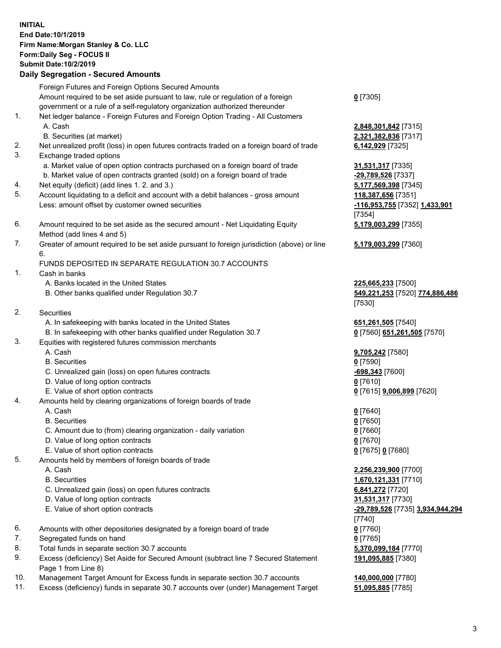## **INITIAL End Date:10/1/2019 Firm Name:Morgan Stanley & Co. LLC Form:Daily Seg - FOCUS II Submit Date:10/2/2019 Daily Segregation - Secured Amounts** Foreign Futures and Foreign Options Secured Amounts

Amount required to be set aside pursuant to law, rule or regulation of a foreign government or a rule of a self-regulatory organization authorized thereunder 1. Net ledger balance - Foreign Futures and Foreign Option Trading - All Customers A. Cash **2,848,301,842** [7315] B. Securities (at market) **2,321,382,836** [7317] 2. Net unrealized profit (loss) in open futures contracts traded on a foreign board of trade **6,142,929** [7325] 3. Exchange traded options a. Market value of open option contracts purchased on a foreign board of trade **31,531,317** [7335] b. Market value of open contracts granted (sold) on a foreign board of trade **-29,789,526** [7337] 4. Net equity (deficit) (add lines 1. 2. and 3.) **5,177,569,398** [7345] 5. Account liquidating to a deficit and account with a debit balances - gross amount **118,387,656** [7351] Less: amount offset by customer owned securities **-116,953,755** [7352] **1,433,901** 6. Amount required to be set aside as the secured amount - Net Liquidating Equity Method (add lines 4 and 5) 7. Greater of amount required to be set aside pursuant to foreign jurisdiction (above) or line 6. FUNDS DEPOSITED IN SEPARATE REGULATION 30.7 ACCOUNTS 1. Cash in banks A. Banks located in the United States **225,665,233** [7500] B. Other banks qualified under Regulation 30.7 **549,221,253** [7520] **774,886,486** 2. Securities A. In safekeeping with banks located in the United States **651,261,505** [7540] B. In safekeeping with other banks qualified under Regulation 30.7 **0** [7560] **651,261,505** [7570] 3. Equities with registered futures commission merchants A. Cash **9,705,242** [7580] B. Securities **0** [7590] C. Unrealized gain (loss) on open futures contracts **-698,343** [7600] D. Value of long option contracts **0** [7610] E. Value of short option contracts **0** [7615] **9,006,899** [7620] 4. Amounts held by clearing organizations of foreign boards of trade A. Cash **0** [7640] B. Securities **0** [7650] C. Amount due to (from) clearing organization - daily variation **0** [7660] D. Value of long option contracts **0** [7670] E. Value of short option contracts **0** [7675] **0** [7680] 5. Amounts held by members of foreign boards of trade A. Cash **2,256,239,900** [7700] B. Securities **1,670,121,331** [7710] C. Unrealized gain (loss) on open futures contracts **6,841,272** [7720] D. Value of long option contracts **31,531,317** [7730] E. Value of short option contracts **-29,789,526** [7735] **3,934,944,294** 6. Amounts with other depositories designated by a foreign board of trade **0** [7760]

- 7. Segregated funds on hand **0** [7765]
- 8. Total funds in separate section 30.7 accounts **5,370,099,184** [7770]
- 9. Excess (deficiency) Set Aside for Secured Amount (subtract line 7 Secured Statement Page 1 from Line 8)
- 10. Management Target Amount for Excess funds in separate section 30.7 accounts **140,000,000** [7780]
- 11. Excess (deficiency) funds in separate 30.7 accounts over (under) Management Target **51,095,885** [7785]

**0** [7305]

[7354] **5,179,003,299** [7355]

**5,179,003,299** [7360]

[7530]

[7740] **191,095,885** [7380]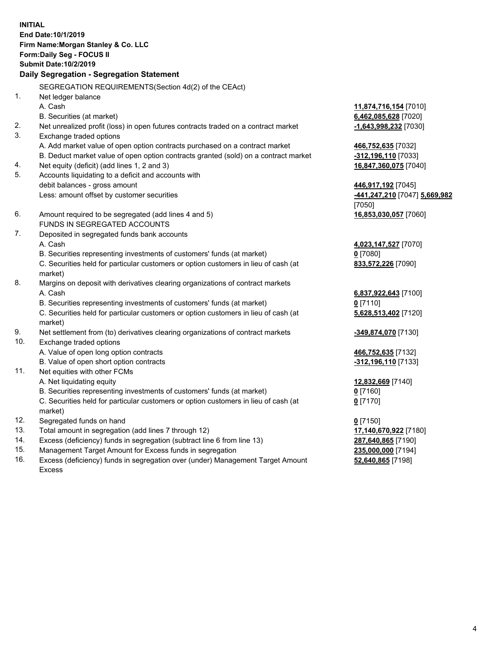**INITIAL End Date:10/1/2019 Firm Name:Morgan Stanley & Co. LLC Form:Daily Seg - FOCUS II Submit Date:10/2/2019 Daily Segregation - Segregation Statement** SEGREGATION REQUIREMENTS(Section 4d(2) of the CEAct) 1. Net ledger balance A. Cash **11,874,716,154** [7010] B. Securities (at market) **6,462,085,628** [7020] 2. Net unrealized profit (loss) in open futures contracts traded on a contract market **-1,643,998,232** [7030] 3. Exchange traded options A. Add market value of open option contracts purchased on a contract market **466,752,635** [7032] B. Deduct market value of open option contracts granted (sold) on a contract market **-312,196,110** [7033] 4. Net equity (deficit) (add lines 1, 2 and 3) **16,847,360,075** [7040] 5. Accounts liquidating to a deficit and accounts with debit balances - gross amount **446,917,192** [7045] Less: amount offset by customer securities **-441,247,210** [7047] **5,669,982** [7050] 6. Amount required to be segregated (add lines 4 and 5) **16,853,030,057** [7060] FUNDS IN SEGREGATED ACCOUNTS 7. Deposited in segregated funds bank accounts A. Cash **4,023,147,527** [7070] B. Securities representing investments of customers' funds (at market) **0** [7080] C. Securities held for particular customers or option customers in lieu of cash (at market) **833,572,226** [7090] 8. Margins on deposit with derivatives clearing organizations of contract markets A. Cash **6,837,922,643** [7100] B. Securities representing investments of customers' funds (at market) **0** [7110] C. Securities held for particular customers or option customers in lieu of cash (at market) **5,628,513,402** [7120] 9. Net settlement from (to) derivatives clearing organizations of contract markets **-349,874,070** [7130] 10. Exchange traded options A. Value of open long option contracts **466,752,635** [7132] B. Value of open short option contracts **-312,196,110** [7133] 11. Net equities with other FCMs A. Net liquidating equity **12,832,669** [7140] B. Securities representing investments of customers' funds (at market) **0** [7160] C. Securities held for particular customers or option customers in lieu of cash (at market) **0** [7170] 12. Segregated funds on hand **0** [7150] 13. Total amount in segregation (add lines 7 through 12) **17,140,670,922** [7180] 14. Excess (deficiency) funds in segregation (subtract line 6 from line 13) **287,640,865** [7190]

- 15. Management Target Amount for Excess funds in segregation **235,000,000** [7194]
- 16. Excess (deficiency) funds in segregation over (under) Management Target Amount Excess

**52,640,865** [7198]